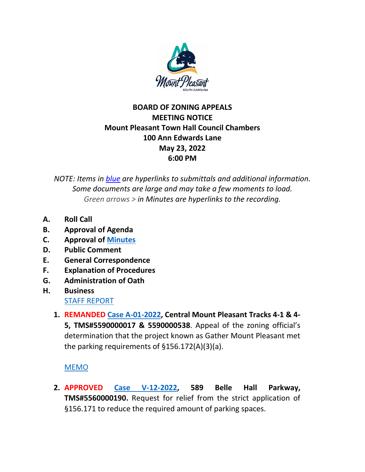

## **BOARD OF ZONING APPEALS MEETING NOTICE Mount Pleasant Town Hall Council Chambers 100 Ann Edwards Lane May 23, 2022 6:00 PM**

*NOTE: Items in blue are hyperlinks to submittals and additional information. Some documents are large and may take a few moments to load. Green arrows > in Minutes are hyperlinks to the recording.*

- **A. Roll Call**
- **B. Approval of Agenda**
- **C. Approval of Minutes**
- **D. Public Comment**
- **E. General Correspondence**
- **F. Explanation of Procedures**
- **G. Administration of Oath**
- **H. Business** STAFF REPORT
	- **1. REMANDED Case A-01-2022, Central Mount Pleasant Tracks 4-1 & 4- 5, TMS#5590000017 & 5590000538**. Appeal of the zoning official's determination that the project known as Gather Mount Pleasant met the parking requirements of §156.172(A)(3)(a).

## MEMO

**2. APPROVED Case V-12-2022, 589 Belle Hall Parkway, TMS#5560000190.** Request for relief from the strict application of §156.171 to reduce the required amount of parking spaces.